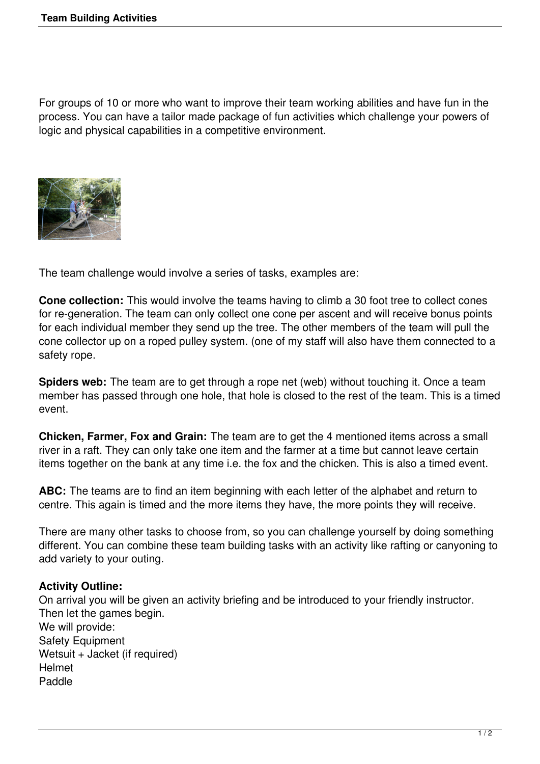For groups of 10 or more who want to improve their team working abilities and have fun in the process. You can have a tailor made package of fun activities which challenge your powers of logic and physical capabilities in a competitive environment.



The team challenge would involve a series of tasks, examples are:

**Cone collection:** This would involve the teams having to climb a 30 foot tree to collect cones for re-generation. The team can only collect one cone per ascent and will receive bonus points for each individual member they send up the tree. The other members of the team will pull the cone collector up on a roped pulley system. (one of my staff will also have them connected to a safety rope.

**Spiders web:** The team are to get through a rope net (web) without touching it. Once a team member has passed through one hole, that hole is closed to the rest of the team. This is a timed event.

**Chicken, Farmer, Fox and Grain:** The team are to get the 4 mentioned items across a small river in a raft. They can only take one item and the farmer at a time but cannot leave certain items together on the bank at any time i.e. the fox and the chicken. This is also a timed event.

**ABC:** The teams are to find an item beginning with each letter of the alphabet and return to centre. This again is timed and the more items they have, the more points they will receive.

There are many other tasks to choose from, so you can challenge yourself by doing something different. You can combine these team building tasks with an activity like rafting or canyoning to add variety to your outing.

## **Activity Outline:**

On arrival you will be given an activity briefing and be introduced to your friendly instructor. Then let the games begin. We will provide: Safety Equipment Wetsuit + Jacket (if required) Helmet Paddle